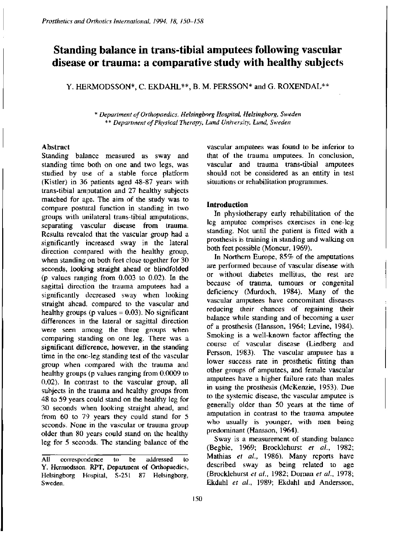# **Standing balance in trans-tibial amputees following vascular disease or trauma: a comparative study with healthy subjects**

Y. HERMODSSON\*, C. EKDAHL\*\*, B. M. PERSSON\* and G. ROXENDAL\*\*

*\* Department of Orthopaedics, Helsingborg Hospital, Helsingborg, Sweden \*\* Department of Physical Therapy, Lund University, Lund, Sweden* 

## Abstract

Standing balance measured as sway and standing time both on one and two legs, was studied by use of a stable force platform (Kistler) in 36 patients aged 48-87 years with trans-tibial amputation and 27 healthy subjects matched for age. The aim of the study was to compare postural function in standing in two groups with unilateral trans-tibial amputations, separating vascular disease from trauma. Results revealed that the vascular group had a significantly increased sway in the lateral direction compared with the healthy group, when standing on both feet close together for 30 seconds, looking straight ahead or blindfolded (p values ranging from 0.003 to 0.02). In the sagittal direction the trauma amputees had a significantly decreased sway when looking straight ahead, compared to the vascular and healthy groups (p values  $= 0.03$ ). No significant differences in the lateral or sagittal direction were seen among the three groups when comparing standing on one leg. There was a significant difference, however, in the standing time in the one-leg standing test of the vascular group when compared with the trauma and healthy groups (p values ranging from 0.0009 to 0.02). In contrast to the vascular group, all subjects in the trauma and healthy groups from 48 to 59 years could stand on the healthy leg for 30 seconds when looking straight ahead, and from 60 to 79 years they could stand for 5 seconds. None in the vascular or trauma group older than 80 years could stand on the healthy leg for 5 seconds. The standing balance of the

vascular amputees was found to be inferior to that of the trauma amputees. In conclusion, vascular and trauma trans-tibial amputees should not be considered as an entity in test situations or rehabilitation programmes.

# **Introduction**

In physiotherapy early rehabilitation of the leg amputee comprises exercises in one-leg standing. Not until the patient is fitted with a prosthesis is training in standing and walking on both feet possible (Moncur, 1969).

In Northern Europe, 85% of the amputations are performed because of vascular disease with or without diabetes mellitus, the rest are because of trauma, tumours or congenital deficiency (Murdoch, 1984). Many of the vascular amputees have concomitant diseases reducing their chances of regaining their balance while standing and of becoming a user of a prosthesis (Hansson, 1964; Levine, 1984). Smoking is a well-known factor affecting the course of vascular disease (Liedberg and Persson, 1983). The vascular amputee has a lower success rate in prosthetic fitting than other groups of amputees, and female vascular amputees have a higher failure rate than males in using the prosthesis (McKenzie, 1953). Due to the systemic disease, the vascular amputee is generally older than 50 years at the time of amputation in contrast to the trauma amputee who usually is younger, with men being predominant (Hansson, 1964).

Sway is a measurement of standing balance (Begbie, 1969; Brocklehurst *et al.,* 1982; Mathias *el al.,* 1986). Many reports have described sway as being related to age (Brocklehurst *et al.,* 1982; Dornan *et al.,* 1978; Ekdahl *et al,* 1989; Ekdahl and Andersson,

All correspondence to be addressed to Y. Hermodsson, RPT, Department of Orthopaedics, Helsingborg Hospital, S-251 87 Helsingborg, Sweden.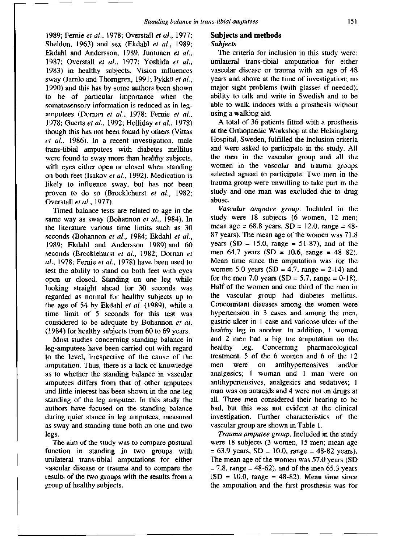1989; Fernie *et al.,* 1978; Overstall *et al.,* 1977; Sheldon, 1963) and sex (Ekdahl *et al.,* 1989; Ekdahl and Andersson, 1989, Juntunen *et al.,*  1987; Overstall *et al.,* 1977; Yoshida *et al.,*  1983) in healthy subjects. Vision influences sway (Jarnlo and Thorngren, 1991; Pykko *et al.,*  1990) and this has by some authors been shown to be of particular importance when the somatosensory information is reduced as in legamputees (Dornan *et al.,* 1978; Fernie *et al.,*  1978; Guerts *et al.,* 1992; Holliday *et al.,* 1978) though this has not been found by others (Vittas *et al.,* 1986). In a recent investigation, male trans-tibial amputees with diabetes mellitus were found to sway more than healthy subjects, with eyes either open or closed when standing on both feet (Isakov *et al.,* 1992). Medication is likely to influence sway, but has not been proven to do so (Brocklehurst *et al.,* 1982; Overstall *et al.,* 1977).

Timed balance tests are related to age in the same way as sway (Bohannon *et al.,* 1984). In the literature various time limits such as 30 seconds (Bohannon *et al.,* 1984; Ekdahl *et al.,*  1989; Ekdahl and Andersson 1989) and 60 seconds (Brocklehurst *et al.,* 1982; Dornan *et al.,* 1978; Fernie *et al.,* 1978) have been used to test the ability to stand on both feet with eyes open or closed. Standing on one leg while looking straight ahead for 30 seconds was regarded as normal for healthy subjects up to the age of 54 by Ekdahl *et al.* (1989), while a time limit of 5 seconds for this test was considered to be adequate by Bohannon *et al.*  (1984) for healthy subjects from 60 to 69 years.

Most studies concerning standing balance in leg-amputees have been carried out with regard to the level, irrespective of the cause of the amputation. Thus, there is a lack of knowledge as to whether the standing balance in vascular amputees differs from that of other amputees and little interest has been shown in the one-leg standing of the leg amputee. In this study the authors have focused on the standing balance during quiet stance in leg amputees, measured as sway and standing time both on one and two legs.

The aim of the study was to compare postural function in standing in two groups with unilateral trans-tibial amputations for either vascular disease or trauma and to compare the results of the two groups with the results from a group of healthy subjects.

## **Subjects and methods**  *Subjects*

The criteria for inclusion in this study were: unilateral trans-tibial amputation for either vascular disease or trauma with an age of 48 years and above at the time of investigation; no major sight problems (with glasses if needed); ability to talk and write in Swedish and to be able to walk indoors with a prosthesis without using a walking aid.

A total of 36 patients fitted with a prosthesis at the Orthopaedic Workshop at the Helsingborg Hospital, Sweden, fulfilled the inclusion criteria and were asked to participate in the study. All the men in the vascular group and all the women in the vascular and trauma groups selected agreed to participate. Two men in the trauma group were unwilling to take part in the study and one man was excluded due to drug abuse.

*Vascular amputee group.* Included in the study were 18 subjects (6 women, 12 men; mean age =  $68.8$  years, SD = 12.0, range =  $48-$ 87 years). The mean age of the women was 71.8 years  $(SD = 15.0, \text{ range} = 51-87)$ , and of the men  $64.7$  years  $(SD = 10.6, \text{ range} = 48-82)$ . Mean time since the amputation was for the women 5.0 years (SD = 4.7, range = 2-14) and for the men 7.0 years  $(SD = 5.7, \text{ range} = 0.18)$ . Half of the women and one third of the men in the vascular group had diabetes mellitus. Concomitant diseases among the women were hypertension in 3 cases and among the men, gastric ulcer in 1 case and varicose ulcer of the healthy leg in another. In addition, 1 woman and 2 men had a big toe amputation on the healthy leg. Concerning pharmacological treatment, 5 of the 6 women and 6 of the 12 men were on antihypertensives and/or analgesics; 1 woman and 1 man were on antihypertensives, analgesics and sedatives; 1 man was on antacids and 4 were not on drugs at all. Three men considered their hearing to be bad, but this was not evident at the clinical investigation. Further characteristics of the vascular group are shown in Table 1.

*Trauma amputee group.* Included in the study were 18 subjects (3 women, 15 men; mean age  $= 63.9$  years, SD = 10.0, range = 48-82 years). The mean age of the women was 57.0 years (SD  $= 7.8$ , range  $= 48-62$ ), and of the men 65.3 years  $(SD = 10.0, \text{ range} = 48-82)$ . Mean time since the amputation and the first prosthesis was for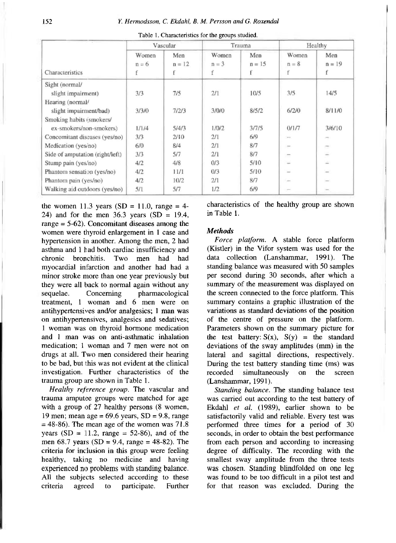|                                 |                  | Vascular<br>Trauma |                       |                 | Healthy               |                      |
|---------------------------------|------------------|--------------------|-----------------------|-----------------|-----------------------|----------------------|
| Characteristics                 | Women<br>$n = 6$ | Men<br>$n = 12$    | Women<br>$n = 3$<br>f | Men<br>$n = 15$ | Women<br>$n = 8$<br>f | Men<br>$n = 19$<br>f |
| Sight (normal/                  |                  |                    |                       |                 |                       |                      |
| slight impairment)              | 3/3              | 7/5                | 2/1                   | 10/5            | 3/5                   | 14/5                 |
| Hearing (normal/                |                  |                    |                       |                 |                       |                      |
| slight impairment/bad)          | 3/3/0            | 7/2/3              | 3/0/0                 | 8/5/2           | 6/2/0                 | 8/11/0               |
| Smoking habits (smokers/        |                  |                    |                       |                 |                       |                      |
| ex-smokers/non-smokers)         | 1/1/4            | 5/4/3              | 1/0/2                 | 3/7/5           | 0/1/7                 | 3/6/10               |
| Concomitant diseases (yes/no)   | 3/3              | 2/10               | 2/1                   | 6/9             | $\sim$                |                      |
| Medication (yes/no)             | 6/0              | 8/4                | 2/1                   | 8/7             | $\sim$                | $\tilde{c}$          |
| Side of amputation (right/left) | 3/3              | 5/7                | 2/1                   | 8/7             | $\overline{a}$        | $\equiv$             |
| Stump pain (yes/no)             | 4/2              | 4/8                | 0/3                   | 5/10            | $\sim$                |                      |
| Phantom sensation (yes/no)      | 4/2              | 11/1               | 0/3                   | 5/10            | ÷                     |                      |
| Phantom pain (yes/no)           | 4/2              | 10/2               | 2/1                   | 8/7             |                       |                      |
| Walking aid outdoors (yes/no)   | 5/1              | 5/7                | 1/2                   | 6/9             |                       |                      |

Table 1. Characteristics for the groups studied.

the women 11.3 years (SD = 11.0, range = 4-24) and for the men  $36.3$  years (SD = 19.4, range = 5-62). Concomitant diseases among the women were thyroid enlargement in 1 case and hypertension in another. Among the men, 2 had asthma and 1 had both cardiac insufficiency and chronic bronchitis. Two men had had myocardial infarction and another had had a minor stroke more than one year previously but they were all back to normal again without any sequelae. Concerning pharmacological treatment, 1 woman and 6 men were on antihypertensives and/or analgesics; 1 man was on antihypertensives, analgesics and sedatives; 1 woman was on thyroid hormone medication and I man was on anti-asthmatic inhalation medication; 1 woman and 7 men were not on drugs at all. Two men considered their hearing to be bad, but this was not evident at the clinical investigation. Further characteristics of the trauma group are shown in Table 1.

*Healthy reference group.* The vascular and trauma amputee groups were matched for age with a group of 27 healthy persons (8 women, 19 men; mean age =  $69.6$  years, SD =  $9.8$ , range  $= 48-86$ ). The mean age of the women was 71.8 years  $(SD = 11.2$ , range = 52-86), and of the men  $68.7$  years  $(SD = 9.4, \text{ range} = 48-82)$ . The criteria for inclusion in this group were feeling healthy, taking no medicine and having experienced no problems with standing balance. All the subjects selected according to these criteria agreed to participate. Further

characteristics of the healthy group are shown in Table 1.

# *Methods*

*Force platform.* A stable force platform (Kistler) in the Vifor system was used for the data collection (Lanshammar, 1991). The standing balance was measured with 50 samples per second during 30 seconds, after which a summary of the measurement was displayed on the screen connected to the force platform. This summary contains a graphic illustration of the variations as standard deviations of the position of the centre of pressure on the platform. Parameters shown on the summary picture for the test battery:  $S(x)$ ,  $S(y)$  = the standard deviations of the sway amplitudes (mm) in the lateral and sagittal directions, respectively. During the test battery standing time (ms) was recorded simultaneously on the screen (Lanshammar, 1991).

*Standing balance.* The standing balance test was carried out according to the test battery of Ekdahl et al. (1989), earlier shown to be satisfactorily valid and reliable. Every test was performed three times for a period of 30 seconds, in order to obtain the best performance from each person and according to increasing degree of difficulty. The recording with the smallest sway amplitude from the three tests was chosen. Standing blindfolded on one leg was found to be too difficult in a pilot test and for that reason was excluded. During the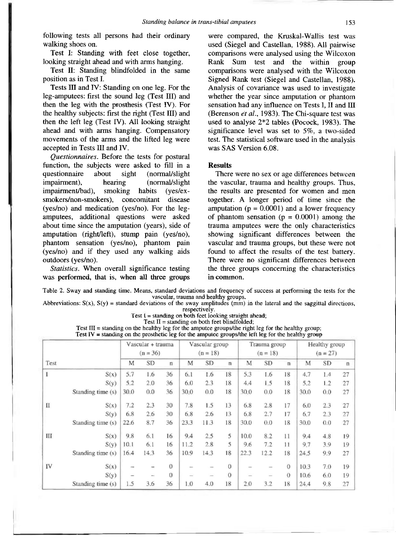following tests all persons had their ordinary walking shoes on.

Test I: Standing with feet close together, looking straight ahead and with arms hanging.

Test II: Standing blindfolded in the same position as in Test I.

Tests III and IV: Standing on one leg. For the leg-amputees: first the sound leg (Test III) and then the leg with the prosthesis (Test IV). For the healthy subjects: first the right (Test III) and then the left leg (Test IV). All looking straight ahead and with arms hanging. Compensatory movements of the arms and the lifted leg were accepted in Tests III and IV.

*Questionnaires.* Before the tests for postural function, the subjects were asked to fill in a questionnaire about sight (normal/slight impairment), hearing (normal/slight impairment/bad), smoking habits (yes/exsmokers/non-smokers), concomitant disease (yes/no) and medication (yes/no). For the legamputees, additional questions were asked about time since the amputation (years), side of amputation (right/left), stump pain (yes/no), phantom sensation (yes/no), phantom pain (yes/no) and if they used any walking aids outdoors (yes/no).

*Statistics.* When overall significance testing was performed, that is, when all three groups

were compared, the Kruskal-Wallis test was used (Siegel and Castellan, 1988). All pairwise comparisons were analysed using the Wilcoxon Rank Sum test and the within group comparisons were analysed with the Wilcoxon Signed Rank test (Siegel and Castellan, 1988). Analysis of covariance was used to investigate whether the year since amputation or phantom sensation had any influence on Tests I, II and III (Berenson *et al.,* 1983). The Chi-square test was used to analyse 2\*2 tables (Pocock, 1983). The significance level was set to 5%, a two-sided test. The statistical software used in the analysis was SAS Version 6.08.

## **Results**

There were no sex or age differences between the vascular, trauma and healthy groups. Thus, the results are presented for women and men together. A longer period of time since the amputation ( $p = 0.0001$ ) and a lower frequency of phantom sensation ( $p = 0.0001$ ) among the trauma amputees were the only characteristics showing significant differences between the vascular and trauma groups, but these were not found to affect the results of the test battery. There were no significant differences between the three groups concerning the characteristics in common.

Table 2. Sway and standing time. Means, standard deviations and frequency of success at performing the tests for the vascular, trauma and healthy groups.

Abbreviations:  $S(x)$ ,  $S(y)$  = standard deviations of the sway amplitudes (mm) in the lateral and the saggittal directions, respectively.

Test  $I =$  standing on both feet looking straight ahead;

Test  $II =$  standing on both feet blindfolded;

Test III = standing on the healthy leg for the amputee groups/the right leg for the healthy group; Test IV = standing on the prosthetic leg for the amputee groups/the left leg for the healthy group

|             |                   |                          | Vascular + trauma<br>$(n = 36)$ |              |      | Vascular group<br>$(n = 18)$ |              |      | Trauma group<br>$(n = 18)$ |             |      | Healthy group<br>$(n = 27)$ |              |
|-------------|-------------------|--------------------------|---------------------------------|--------------|------|------------------------------|--------------|------|----------------------------|-------------|------|-----------------------------|--------------|
| Test        |                   | M                        | <b>SD</b>                       | $\mathbf{n}$ | M    | SD                           | $\mathbf{n}$ | M    | <b>SD</b>                  | $\mathbf n$ | M    | <b>SD</b>                   | $\mathbf{n}$ |
| I           | S(x)              | 5.7                      | 1.6                             | 36           | 6.1  | 1.6                          | 18           | 5.3  | 1.6                        | 18          | 4.7  | 1.4                         | 27           |
|             | S(y)              | 5.2                      | 2.0                             | 36           | 6.0  | 2.3                          | 18           | 4.4  | 1.5                        | 18          | 5.2  | 1.2                         | 27           |
|             | Standing time (s) | 30.0                     | 0.0                             | 36           | 30.0 | 0.0                          | 18           | 30.0 | 0.0                        | 18          | 30.0 | 0.0                         | 27           |
| $_{\rm II}$ | S(x)              | 7.2                      | 2.3                             | 30           | 7.8  | 1.5                          | 13           | 6.8  | 2.8                        | 17          | 6.0  | 2.3                         | 27           |
|             | S(y)              | 6.8                      | 2.6                             | 30           | 6.8  | 2.6                          | 13           | 6.8  | 2.7                        | 17          | 6.7  | 2.3                         | 27           |
|             | Standing time (s) | 22.6                     | 8.7                             | 36           | 23.3 | 11.3                         | 18           | 30.0 | 0.0                        | 18          | 30.0 | 0.0                         | 27           |
| Ш           | S(x)              | 9.8                      | 6.1                             | 16           | 9.4  | 2.5                          | 5            | 10.0 | 8.2                        | 11          | 9.4  | 4.8                         | 19           |
|             | S(y)              | 10.1                     | 6.1                             | 16           | 11.2 | 2.8                          | 5            | 9.6  | 7.2                        | 11          | 9.7  | 3.9                         | 19           |
|             | Standing time (s) | 16.4                     | 14.3                            | 36           | 10.9 | 14.3                         | 18           | 22.3 | 12.2                       | 18          | 24.5 | 9.9                         | 27           |
| IV          | S(x)              |                          | -                               | $\Omega$     |      |                              | $\Omega$     |      |                            | $\Omega$    | 10.3 | 7.0                         | 19           |
|             | S(y)              | $\overline{\phantom{0}}$ | $\overline{\phantom{0}}$        | $\theta$     |      |                              | $\theta$     |      | -                          | $\theta$    | 10.6 | 6.0                         | 19           |
|             | Standing time (s) | 1.5                      | 3.6                             | 36           | 1.0  | 4.0                          | 18           | 2.0  | 3.2                        | 18          | 24.4 | 9.8                         | 27           |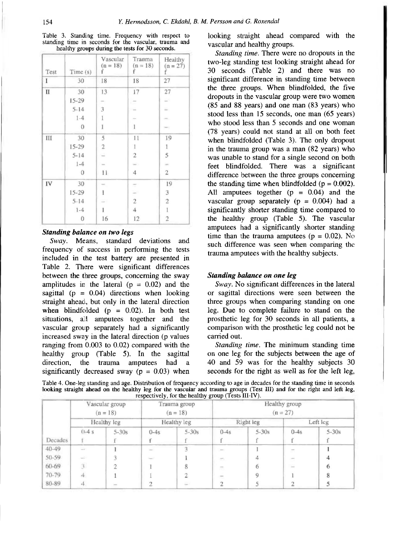| Test | Time(s)        | Vascular<br>$(n = 18)$<br>r                | Trauma<br>$(n = 18)$<br>t | Healthy<br>$(n = 27)$<br>f |
|------|----------------|--------------------------------------------|---------------------------|----------------------------|
| I    | 30             | 18                                         | 18                        | 27                         |
| П    | 30             | 13                                         | 17                        | 27                         |
|      | $15-29$        | $\sim$                                     | of the                    | a)                         |
|      | $5 - 14$       | 3                                          | $\sim$                    | ÷                          |
|      | $1 - 4$        | $\mathbf{1}$                               | $\sim$                    |                            |
|      | $\theta$       | $\mathbf{1}$                               | $\mathbf{1}$              | $\sim$                     |
| Ш    | 30             | 5                                          | 11                        | 19                         |
|      | $15 - 29$      | $\overline{2}$                             | 1                         | 1                          |
|      | $5 - 14$       |                                            | $\overline{2}$            | 5                          |
|      | $1 - 4$        | $\sim$                                     | w                         | ÷                          |
|      | $\overline{0}$ | 11                                         | $\overline{4}$            | $\overline{2}$             |
| IV   | 30             | $\frac{1}{2} \left( \frac{1}{2} \right)^2$ | ÷                         | 19                         |
|      | $15 - 29$      | 1                                          | ÷                         | 3                          |
|      | $5 - 14$       |                                            | $\overline{c}$            | $\overline{2}$             |
|      | $1 - 4$        | I                                          | $\overline{4}$            | 1                          |
|      | $\bf{0}$       | 16                                         | 12                        | $\overline{2}$             |

Table 3. Standiag time. Frequency with respect to standing time in seconds for the vascular, trauma and healthy groups during the tests for 30 seconds.

## *Standing balance on two legs*

*Sway.* Means, standard deviations and frequency of success in performing the tests included in the test battery are presented in Table 2. There were significant differences between the three groups, concerning the sway amplitudes in the lateral  $(p = 0.02)$  and the sagittal ( $p = 0.04$ ) directions when looking straight ahead, but only in the lateral direction when blindfolded  $(p = 0.02)$ . In both test situations, all amputees together and the vascular group separately had a significantly increased sway in the lateral direction (p values ranging from 0.003 to 0.02) compared with the healthy group (Table 5). In the sagittal direction, the trauma amputees had a significantly decreased sway ( $p = 0.03$ ) when looking straight ahead compared with the vascular and healthy groups.

*Standing time.* There were no dropouts in the two-leg standing test looking straight ahead for 30 seconds (Table 2) and there was no significant difference in standing time between the three groups. When blindfolded, the five dropouts in the vascular group were two women (85 and 88 years) and one man (83 years) who stood less than 15 seconds, one man (65 years) who stood less than 5 seconds and one woman (78 years) could not stand at all on both feet when blindfolded (Table 3). The only dropout in the trauma group was a man (82 years) who was unable to stand for a single second on both feet blindfolded. There was a significant difference between the three groups concerning the standing time when blindfolded ( $p = 0.002$ ). All amputees together  $(p = 0.04)$  and the vascular group separately  $(p = 0.004)$  had a significantly shorter standing time compared to the healthy group (Table 5). The vascular amputees had a significantly shorter standing time than the trauma amputees ( $p = 0.02$ ). No such difference was seen when comparing the trauma amputees with the healthy subjects.

## *Standing balance on one leg*

*Sway.* No significant differences in the lateral or sagittal directions were seen between the three groups when comparing standing on one leg. Due to complete failure to stand on the prosthetic leg for 30 seconds in all patients, a comparison with the prosthetic leg could not be carried out.

*Standing time.* The minimum standing time on one leg for the subjects between the age of 40 and 59 was for the healthy subjects 30 seconds for the right as well as for the left leg,

|  | Table 4. One-leg standing and age. Distribution of frequency according to age in decades for the standing time in seconds |                                                        |  |  |
|--|---------------------------------------------------------------------------------------------------------------------------|--------------------------------------------------------|--|--|
|  | looking straight ahead on the healthy leg for the vascular and trauma groups (Test III) and for the right and left leg,   |                                                        |  |  |
|  |                                                                                                                           | respectively, for the healthy group (Tests $III$ -IV). |  |  |
|  |                                                                                                                           |                                                        |  |  |

|           | Vascular group<br>$(n = 18)$<br>Healthy leg |                | Trauma group<br>$(n = 18)$<br>Healthy leg |                | Healthy group<br>$(n = 27)$ |           |                          |         |
|-----------|---------------------------------------------|----------------|-------------------------------------------|----------------|-----------------------------|-----------|--------------------------|---------|
|           |                                             |                |                                           |                | Right leg                   |           | Left leg                 |         |
|           | $(1-4s)$                                    | $5 - 30s$      | $0 - 4s$                                  | $5 - 30s$      | $0-4s$                      | $5 - 30s$ | $0-4s$                   | $5-30s$ |
| Decades   |                                             |                |                                           |                |                             |           |                          |         |
| $40 - 49$ | $\sim$                                      |                |                                           |                | $\sim$                      |           | $\overline{\phantom{a}}$ |         |
| 50-59     | $\omega_{\rm c}$                            |                | <b>Service</b>                            |                | $\sim$                      | 4         | $\sim$                   |         |
| 60-69     | $\mathcal{F}$                               |                |                                           | 8              | $\overline{\sim}$           | 6         | $\sim$                   | 6       |
| 70-79     | 4                                           |                |                                           | $\overline{2}$ | $\overline{\phantom{a}}$    | 9         |                          | 8       |
| 80-89     |                                             | <b>Service</b> |                                           | £.             |                             |           |                          |         |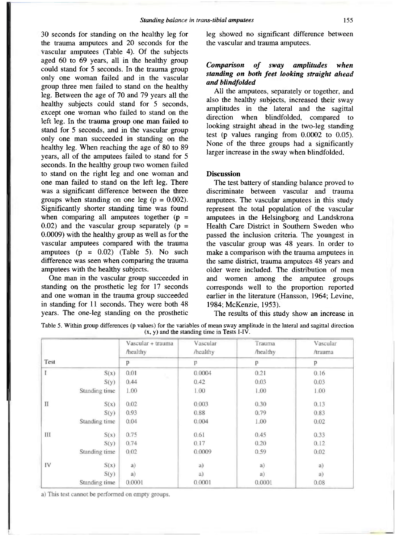30 seconds for standing on the healthy leg for the trauma amputees and 20 seconds for the vascular amputees (Table 4). Of the subjects aged 60 to 69 years, all in the healthy group could stand for 5 seconds. In the trauma group only one woman failed and in the vascular group three men failed to stand on the healthy leg. Between the age of 70 and 79 years all the healthy subjects could stand for 5 seconds, except one woman who failed to stand on the left leg. In the trauma group one man failed to stand for 5 seconds, and in the vascular group only one man succeeded in standing on the healthy leg. When reaching the age of 80 to 89 years, all of the amputees failed to stand for 5 seconds. In the healthy group two women failed to stand on the right leg and one woman and one man failed to stand on the left leg. There was a significant difference between the three groups when standing on one leg ( $p = 0.002$ ). Significantly shorter standing time was found when comparing all amputees together  $(p =$  $0.02$ ) and the vascular group separately ( $p =$ 0.0009) with the healthy group as well as for the vascular amputees compared with the trauma amputees  $(p = 0.02)$  (Table 5). No such difference was seen when comparing the trauma amputees with the healthy subjects.

One man in the vascular group succeeded in standing on the prosthetic leg for 17 seconds and one woman in the trauma group succeeded in standing for 11 seconds. They were both 48 years. The one-leg standing on the prosthetic leg showed no significant difference between the vascular and trauma amputees.

# *Comparison of sway amplitudes when standing on both feet looking straight ahead and blindfolded*

All the amputees, separately or together, and also the healthy subjects, increased their sway amplitudes in the lateral and the sagittal direction when blindfolded, compared to looking straight ahead in the two-leg standing test (p values ranging from 0.0002 to 0.05). None of the three groups had a significantly larger increase in the sway when blindfolded.

#### **Discussion**

The test battery of standing balance proved to discriminate between vascular and trauma amputees. The vascular amputees in this study represent the total population of the vascular amputees in the Helsingborg and Landskrona Health Care District in Southern Sweden who passed the inclusion criteria. The youngest in the vascular group was 48 years. In order to make a comparison with the trauma amputees in the same district, trauma amputees 48 years and older were included. The distribution of men and women among the amputee groups corresponds well to the proportion reported earlier in the literature (Hansson, 1964; Levine, 1984; McKenzie, 1953).

The results of this study show an increase in

Table 5. Within group differences (p values) for the variables of mean sway amplitude in the lateral and sagittal direction  $(x, y)$  and the standing time in Tests I-IV.

|      |               | Vascular + trauma<br>/healthy | Vascular<br>/healthy | Trauma<br>/healthy | Vascular<br>/trauma |
|------|---------------|-------------------------------|----------------------|--------------------|---------------------|
| Test |               | p                             | p                    | P                  | р                   |
|      | S(x)          | 0.01                          | 0.0004               | 0.21               | 0.16                |
|      | S(y)          | 0.44                          | 0.42                 | 0.03               | 0.03                |
|      | Standing time | 1.00                          | 1.00                 | 1.00               | 1.00                |
| Π    | S(x)          | 0.02                          | 0.003                | 0.30               | 0.13                |
|      | S(y)          | 0.93                          | 0.88                 | 0.79               | 0.83                |
|      | Standing time | 0.04                          | 0.004                | 1.00               | 0.02                |
| Ш    | S(x)          | 0.75                          | 0.61                 | 0.45               | 0.33                |
|      | S(y)          | 0.74                          | 0.17                 | 0.20               | 0.12                |
|      | Standing time | 0.02                          | 0.0009               | 0.59               | 0.02                |
| IV   | S(x)          | a)                            | a)                   | a)                 | a)                  |
|      | S(y)          | a)                            | a)                   | a)                 | a)                  |
|      | Standing time | 0.0001                        | 0.0001               | 0.0001             | 0.08                |

a) This test cannot be performed on empty groups.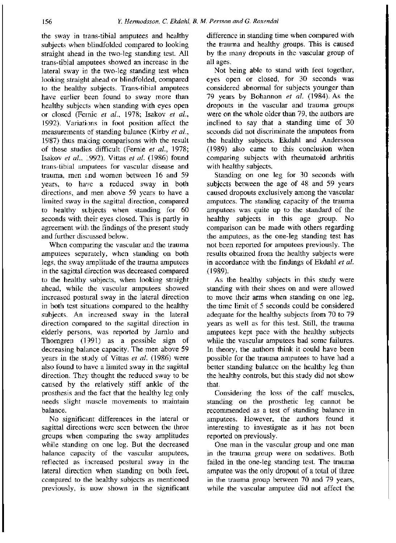the sway in tians-tibial amputees and healthy subjects when blindfolded compared to looking straight ahead in the two-leg standing test. All trans-tibial amputees showed an increase in the lateral sway in the two-leg standing test when looking straight ahead or blindfolded, compared to the healthy subjects. Trans-tibial amputees have earlier been found to sway more than healthy subjects when standing with eyes open or closed (Fernie *et al.,* 1978; Isakov *et al.,*  1992). Variations in foot position affect the measurements of standing balance (Kirby *et al.,*  1987) thus making comparisons with the result of these studies difficult (Fernie *et al.,* 1978; Isakov *et al.,* 1992). Vittas *et al..* (1986) found trans-tibial amputees for vascular disease and trauma, men and women between 16 and 59 years, to have a reduced sway in both directions, and men above 59 years to have a limited sway in the sagittal direction, compared to healthy subjects when standing for 60 seconds with their eyes closed. This is partly in agreement with the findings of the present study and further discussed below.

When comparing the vascular and the trauma amputees separately, when standing on both legs, the sway amplitude of the trauma amputees in the sagittal direction was decreased compared to the healthy subjects, when looking straight ahead, while the vascular amputees showed increased postural sway in the lateral direction in both test situations compared to the healthy subjects. An increased sway in the lateral direction compared to the sagittal direction in elderly persons, was reported by Jarnlo and Thorngren (1991) as a possible sign of decreasing balance capacity. The men above 59 years in the study of Vittas *et al.* (1986) were also found to have a limited sway in the sagittal direction. They thought the reduced sway to be caused by the relatively stiff ankle of the prosthesis and the fact that the healthy leg only needs slight muscle movements to maintain balance.

No significant differences in the lateral or sagittal directions were seen between the three groups when comparing the sway amplitudes while standing on one leg. But the decreased balance capacity of the vascular amputees, reflected as increased postural sway in the lateral direction when standing on both feet, compared to the healthy subjects as mentioned previously, is now shown in the significant difference in standing time when compared with the trauma and healthy groups. This is caused by the many dropouts in the vascular group of all ages.

Not being able to stand with feet together, eyes open or closed, for 30 seconds was considered abnormal for subjects younger than 79 years by Bohannon *et al.* (1984). As the dropouts in the vascular and trauma groups were on the whole older than 79, the authors are inclined to say that a standing time of 30 seconds did not discriminate the amputees from the healthy subjects. Ekdahl and Andersson (1989) also came to this conclusion when comparing subjects with rheumatoid arthritis with healthy subjects.

Standing on one leg for 30 seconds with subjects between the age of 48 and 59 years caused dropouts exclusively among the vascular amputees. The standing capacity of the trauma amputees was quite up to the standard of the healthy subjects in this age group. No comparison can be made with others regarding the amputees, as the one-leg standing test has not been reported for amputees previously. The results obtained from the healthy subjects were in accordance with the findings of Ekdahl *et al.*  (1989).

As the healthy subjects in this study were standing with their shoes on and were allowed to move their arms when standing on one leg, the time limit of 5 seconds could be considered adequate for the healthy subjects from 70 to 79 years as well as for this test. Still, the trauma amputees kept pace with the healthy subjects while the vascular amputees had some failures. In theory, the authors think it could have been possible for the trauma amputees to have had a better standing balance on the healthy leg than the healthy controls, but this study did not show that.

Considering the loss of the calf muscles, standing on the prosthetic leg cannot be recommended as a test of standing balance in amputees. However, the authors found it interesting to investigate as it has not been reported on previously.

One man in the vascular group and one man in the trauma group were on sedatives. Both failed in the one-leg standing test. The trauma amputee was the only dropout of a total of three in the trauma group between 70 and 79 years, while the vascular amputee did not affect the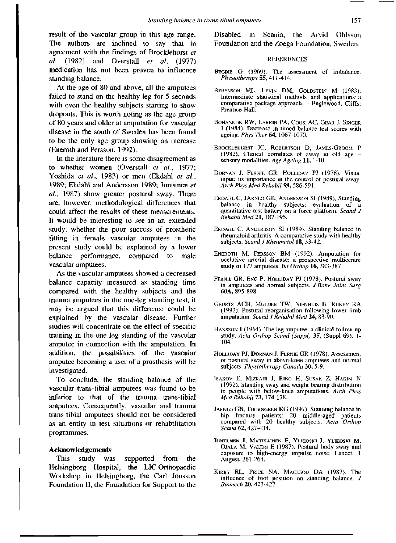result of the vascular group in this age range. The authors are inclined to say that in agreement with the findings of Brocklehurst *el al.* (1982) and Overstall *et al.* (1977) medication has not been proven to influence standing balance.

At the age of 80 and above, all the amputees failed to stand on the healthy leg for 5 seconds with even the healthy subjects starting to show dropouts. This is worth noting as the age group of 80 years and older at amputation for vascular disease in the south of Sweden has been found to be the only age group showing an increase (Eneroth and Persson, 1992).

In the literature there is some disagreement as to whether women (Overstall *et al.,* 1977; Yoshida *et al.,* 1983) or men (Ekdahl *et al.,*  1989; Ekdahl and Andersson 1989; Juntunen *et al.,* 1987) show greater postural sway. There are, however, methodological differences that could affect the results of these measurements. It would be interesting to see in an extended study, whether the poor success of prosthetic fitting in female vascular amputees in the present study could be explained by a lower balance performance, compared to male vascular amputees.

As the vascular amputees showed a decreased balance capacity measured as standing time compared with the healthy subjects and the trauma amputees in the one-leg standing test, it may be argued that this difference could be explained by the vascular disease. Further studies will concentrate on the effect of specific training in the one leg standing of the vascular amputee in connection with the amputation. In addition, the possibilities of the vascular amputee becoming a user of a prosthesis will be investigated.

To conclude, the standing balance of the vascular trans-tibial amputees was found to be inferior to that of the trauma trans-tibial amputees. Consequently, vascular and trauma trans-tibial amputees should not be considered as an entity in test situations or rehabilitation programmes.

# **Acknowledgements**

This study was supported from the Helsingborg Hospital, the LIC Orthopaedic Workshop in Helsingborg, the Carl Jonsson Foundation II, the Foundation for Support to the Disabled in Scania, the Arvid Ohlsson Foundation and the Zoega Foundation, Sweden.

#### **REFERENCES**

- BEGBIE G (1969). The assessment of imbalance. *Physiotherapy* 55, 411-414.
- BERENSON ML, LEVIN DM, GOLDSTEIN M (1983). Intermediate statistical methods and applications: a comparative package approach. - Englewood, Cliffs: Prentice-Hall.
- BOHANNON RW, LARKIN PA. COOK AC, GEAR J, SINGER J (1984). Decrease in timed balance test scores with ageing. *Phys Ther 64,* 1067-1070.
- BROCKLEHURST JC, ROBERTSON D, JAMES-GROOM P (1982). Clinical correlates of sway in old age sensory modalities. Age *Ageing* 11, 1-10.
- DORNAN J, FERNIE GR, HOLLIDAY PJ (1978). Visual input: its importance in the control of postural sway. *Arch Phys Med Rehabil* 59, 586-591.
- EKDAHL C, JARNLO GB, ANDERSSON SI (1989). Standing balance in healthy subjects: evaluation of a quantitative test battery on a force platform. *Scand J Rehabil Med* 21, 187-195.
- EKDAHL C, ANDERSSON SI (1989). Standing balance in rheumatoid arthritis. A comparative study with healthy subjects. *Scand J Rheumatol* 18, 33-42.
- ENEROTH M, PERSSON BM (1992). Amputation for occlusive arterial disease: a prospective multicentre study of 177 amputees, Int *Orthop* 16, 383-387.
- FERNIE GR, ENG P, HOLLIDAY PJ (1978). Postural sway in amputees and normal subjects. *J Bone Joint Surg*  60A, 895-898.
- GEURTS ACH, MULDER TW, NIENHUIS B, RIJKEN RA (1992). Postural reorganisation following lower limb amputation. *Scand J Rehabil Med* 24, 83-90.
- HANSSON J (1964). The leg amputee: a clinical follow-up study. *Acta Orthop Scand (Suppl)* 35, (Suppl 69), 1- 104.
- HOLLIDAY PJ, DORNAN J, FERNIE GR (1978). Assessment of postural sway in above-knee amputees and normal subjects. *Physiotherapy Canada* 30, 5-9.
- ISAKOV E, MlZRAHI J, RING H, SUSAK Z, HAKIM N (1992). Standing sway and weight bearing distribution in people with below-knee amputations. *Arch Phys Med Rehabil 73,* 174-178.
- JARNLO GB, THORNGREN KG (1991). Standing balance in hip fracture patients: 20 middle-aged patients compared with 20 healthy subjects. *Acta Orthop Scand* 62, 427-434.
- JUNTUNEN J, MATIKAINEN E, YLIKOSKJ J, YLIKOSKI M, OJALA M, VALERI E (1987). Postural body sway and exposure to high-energy impulse noise. Lancet, 1 August, 261-264.
- KIRBY RL, PRICE NA, MACLEOD DA (1987). The influence of foot position on standing balance. *J Biomech* 20, 423-427.